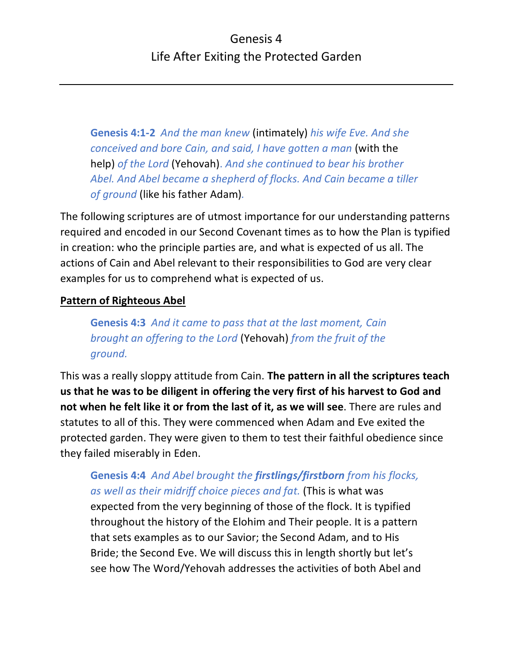**Genesis 4:1-2** *And the man knew* (intimately) *his wife Eve. And she conceived and bore Cain, and said, I have gotten a man* (with the help) *of the Lord* (Yehovah). *And she continued to bear his brother Abel. And Abel became a shepherd of flocks. And Cain became a tiller of ground* (like his father Adam)*.*

The following scriptures are of utmost importance for our understanding patterns required and encoded in our Second Covenant times as to how the Plan is typified in creation: who the principle parties are, and what is expected of us all. The actions of Cain and Abel relevant to their responsibilities to God are very clear examples for us to comprehend what is expected of us.

### **Pattern of Righteous Abel**

**Genesis 4:3** *And it came to pass that at the last moment, Cain brought an offering to the Lord* (Yehovah) *from the fruit of the ground.*

This was a really sloppy attitude from Cain. **The pattern in all the scriptures teach us that he was to be diligent in offering the very first of his harvest to God and not when he felt like it or from the last of it, as we will see**. There are rules and statutes to all of this. They were commenced when Adam and Eve exited the protected garden. They were given to them to test their faithful obedience since they failed miserably in Eden.

# **Genesis 4:4** *And Abel brought the firstlings/firstborn from his flocks, as well as their midriff choice pieces and fat.* (This is what was

expected from the very beginning of those of the flock. It is typified throughout the history of the Elohim and Their people. It is a pattern that sets examples as to our Savior; the Second Adam, and to His Bride; the Second Eve. We will discuss this in length shortly but let's see how The Word/Yehovah addresses the activities of both Abel and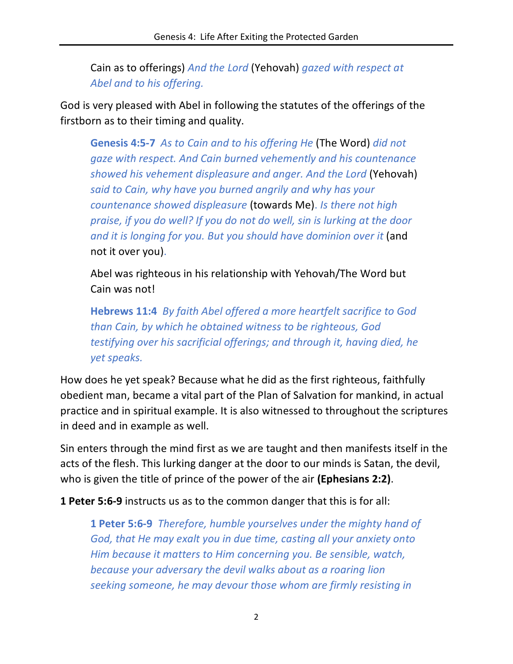Cain as to offerings) *And the Lord* (Yehovah) *gazed with respect at Abel and to his offering.*

God is very pleased with Abel in following the statutes of the offerings of the firstborn as to their timing and quality.

**Genesis 4:5-7** *As to Cain and to his offering He* (The Word) *did not gaze with respect. And Cain burned vehemently and his countenance showed his vehement displeasure and anger. And the Lord* (Yehovah) *said to Cain, why have you burned angrily and why has your countenance showed displeasure* (towards Me). *Is there not high praise, if you do well? If you do not do well, sin is lurking at the door and it is longing for you. But you should have dominion over it* (and not it over you).

Abel was righteous in his relationship with Yehovah/The Word but Cain was not!

**Hebrews 11:4** *By faith Abel offered a more heartfelt sacrifice to God than Cain, by which he obtained witness to be righteous, God testifying over his sacrificial offerings; and through it, having died, he yet speaks.*

How does he yet speak? Because what he did as the first righteous, faithfully obedient man, became a vital part of the Plan of Salvation for mankind, in actual practice and in spiritual example. It is also witnessed to throughout the scriptures in deed and in example as well.

Sin enters through the mind first as we are taught and then manifests itself in the acts of the flesh. This lurking danger at the door to our minds is Satan, the devil, who is given the title of prince of the power of the air **(Ephesians 2:2)**.

**1 Peter 5:6-9** instructs us as to the common danger that this is for all:

**1 Peter 5:6-9** *Therefore, humble yourselves under the mighty hand of God, that He may exalt you in due time, casting all your anxiety onto Him because it matters to Him concerning you. Be sensible, watch, because your adversary the devil walks about as a roaring lion seeking someone, he may devour those whom are firmly resisting in*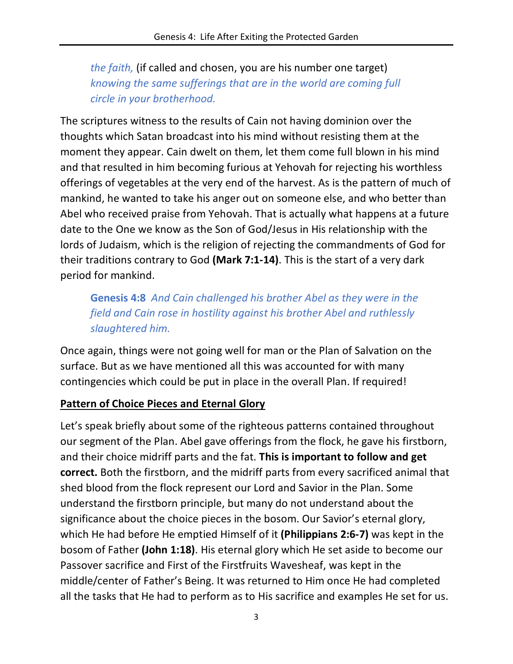*the faith,* (if called and chosen, you are his number one target) *knowing the same sufferings that are in the world are coming full circle in your brotherhood.*

The scriptures witness to the results of Cain not having dominion over the thoughts which Satan broadcast into his mind without resisting them at the moment they appear. Cain dwelt on them, let them come full blown in his mind and that resulted in him becoming furious at Yehovah for rejecting his worthless offerings of vegetables at the very end of the harvest. As is the pattern of much of mankind, he wanted to take his anger out on someone else, and who better than Abel who received praise from Yehovah. That is actually what happens at a future date to the One we know as the Son of God/Jesus in His relationship with the lords of Judaism, which is the religion of rejecting the commandments of God for their traditions contrary to God **(Mark 7:1-14)**. This is the start of a very dark period for mankind.

**Genesis 4:8** *And Cain challenged his brother Abel as they were in the field and Cain rose in hostility against his brother Abel and ruthlessly slaughtered him.*

Once again, things were not going well for man or the Plan of Salvation on the surface. But as we have mentioned all this was accounted for with many contingencies which could be put in place in the overall Plan. If required!

#### **Pattern of Choice Pieces and Eternal Glory**

Let's speak briefly about some of the righteous patterns contained throughout our segment of the Plan. Abel gave offerings from the flock, he gave his firstborn, and their choice midriff parts and the fat. **This is important to follow and get correct.** Both the firstborn, and the midriff parts from every sacrificed animal that shed blood from the flock represent our Lord and Savior in the Plan. Some understand the firstborn principle, but many do not understand about the significance about the choice pieces in the bosom. Our Savior's eternal glory, which He had before He emptied Himself of it **(Philippians 2:6-7)** was kept in the bosom of Father **(John 1:18)**. His eternal glory which He set aside to become our Passover sacrifice and First of the Firstfruits Wavesheaf, was kept in the middle/center of Father's Being. It was returned to Him once He had completed all the tasks that He had to perform as to His sacrifice and examples He set for us.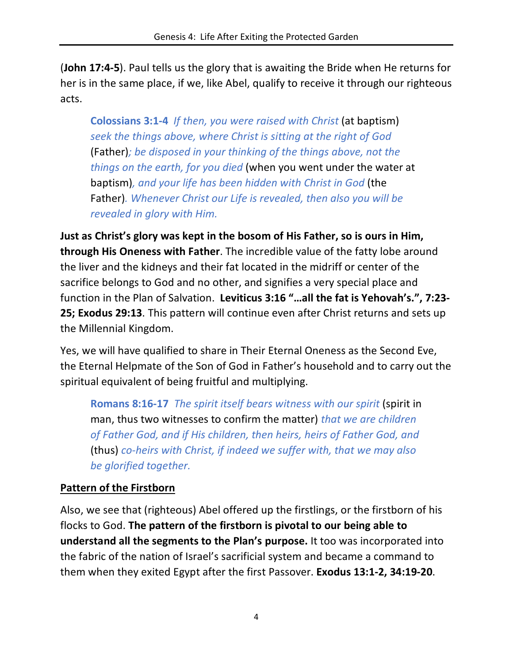(**John 17:4-5**). Paul tells us the glory that is awaiting the Bride when He returns for her is in the same place, if we, like Abel, qualify to receive it through our righteous acts.

**Colossians 3:1-4** *If then, you were raised with Christ* (at baptism) *seek the things above, where Christ is sitting at the right of God*  (Father)*; be disposed in your thinking of the things above, not the things on the earth, for you died* (when you went under the water at baptism)*, and your life has been hidden with Christ in God* (the Father)*. Whenever Christ our Life is revealed, then also you will be revealed in glory with Him.*

**Just as Christ's glory was kept in the bosom of His Father, so is ours in Him, through His Oneness with Father**. The incredible value of the fatty lobe around the liver and the kidneys and their fat located in the midriff or center of the sacrifice belongs to God and no other, and signifies a very special place and function in the Plan of Salvation. **Leviticus 3:16 "…all the fat is Yehovah's.", 7:23- 25; Exodus 29:13**. This pattern will continue even after Christ returns and sets up the Millennial Kingdom.

Yes, we will have qualified to share in Their Eternal Oneness as the Second Eve, the Eternal Helpmate of the Son of God in Father's household and to carry out the spiritual equivalent of being fruitful and multiplying.

**Romans 8:16-17** *The spirit itself bears witness with our spirit* (spirit in man, thus two witnesses to confirm the matter) *that we are children of Father God, and if His children, then heirs, heirs of Father God, and*  (thus) *co-heirs with Christ, if indeed we suffer with, that we may also be glorified together.*

## **Pattern of the Firstborn**

Also, we see that (righteous) Abel offered up the firstlings, or the firstborn of his flocks to God. **The pattern of the firstborn is pivotal to our being able to understand all the segments to the Plan's purpose.** It too was incorporated into the fabric of the nation of Israel's sacrificial system and became a command to them when they exited Egypt after the first Passover. **Exodus 13:1-2, 34:19-20**.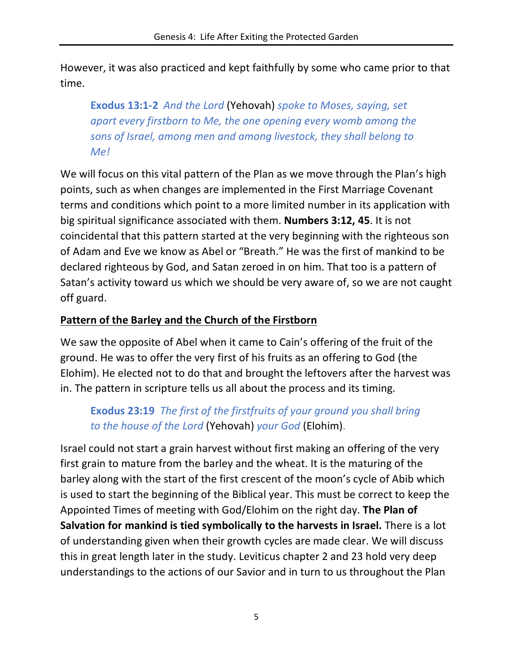However, it was also practiced and kept faithfully by some who came prior to that time.

**Exodus 13:1-2** *And the Lord* (Yehovah) *spoke to Moses, saying, set apart every firstborn to Me, the one opening every womb among the sons of Israel, among men and among livestock, they shall belong to Me!*

We will focus on this vital pattern of the Plan as we move through the Plan's high points, such as when changes are implemented in the First Marriage Covenant terms and conditions which point to a more limited number in its application with big spiritual significance associated with them. **Numbers 3:12, 45**. It is not coincidental that this pattern started at the very beginning with the righteous son of Adam and Eve we know as Abel or "Breath." He was the first of mankind to be declared righteous by God, and Satan zeroed in on him. That too is a pattern of Satan's activity toward us which we should be very aware of, so we are not caught off guard.

### **Pattern of the Barley and the Church of the Firstborn**

We saw the opposite of Abel when it came to Cain's offering of the fruit of the ground. He was to offer the very first of his fruits as an offering to God (the Elohim). He elected not to do that and brought the leftovers after the harvest was in. The pattern in scripture tells us all about the process and its timing.

# **Exodus 23:19** *The first of the firstfruits of your ground you shall bring to the house of the Lord* (Yehovah) *your God* (Elohim).

Israel could not start a grain harvest without first making an offering of the very first grain to mature from the barley and the wheat. It is the maturing of the barley along with the start of the first crescent of the moon's cycle of Abib which is used to start the beginning of the Biblical year. This must be correct to keep the Appointed Times of meeting with God/Elohim on the right day. **The Plan of Salvation for mankind is tied symbolically to the harvests in Israel.** There is a lot of understanding given when their growth cycles are made clear. We will discuss this in great length later in the study. Leviticus chapter 2 and 23 hold very deep understandings to the actions of our Savior and in turn to us throughout the Plan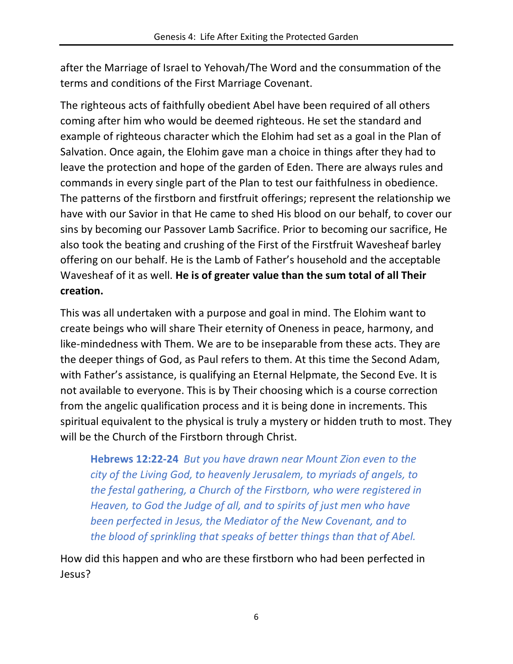after the Marriage of Israel to Yehovah/The Word and the consummation of the terms and conditions of the First Marriage Covenant.

The righteous acts of faithfully obedient Abel have been required of all others coming after him who would be deemed righteous. He set the standard and example of righteous character which the Elohim had set as a goal in the Plan of Salvation. Once again, the Elohim gave man a choice in things after they had to leave the protection and hope of the garden of Eden. There are always rules and commands in every single part of the Plan to test our faithfulness in obedience. The patterns of the firstborn and firstfruit offerings; represent the relationship we have with our Savior in that He came to shed His blood on our behalf, to cover our sins by becoming our Passover Lamb Sacrifice. Prior to becoming our sacrifice, He also took the beating and crushing of the First of the Firstfruit Wavesheaf barley offering on our behalf. He is the Lamb of Father's household and the acceptable Wavesheaf of it as well. **He is of greater value than the sum total of all Their creation.**

This was all undertaken with a purpose and goal in mind. The Elohim want to create beings who will share Their eternity of Oneness in peace, harmony, and like-mindedness with Them. We are to be inseparable from these acts. They are the deeper things of God, as Paul refers to them. At this time the Second Adam, with Father's assistance, is qualifying an Eternal Helpmate, the Second Eve. It is not available to everyone. This is by Their choosing which is a course correction from the angelic qualification process and it is being done in increments. This spiritual equivalent to the physical is truly a mystery or hidden truth to most. They will be the Church of the Firstborn through Christ.

**Hebrews 12:22-24** *But you have drawn near Mount Zion even to the city of the Living God, to heavenly Jerusalem, to myriads of angels, to the festal gathering, a Church of the Firstborn, who were registered in Heaven, to God the Judge of all, and to spirits of just men who have been perfected in Jesus, the Mediator of the New Covenant, and to the blood of sprinkling that speaks of better things than that of Abel.*

How did this happen and who are these firstborn who had been perfected in Jesus?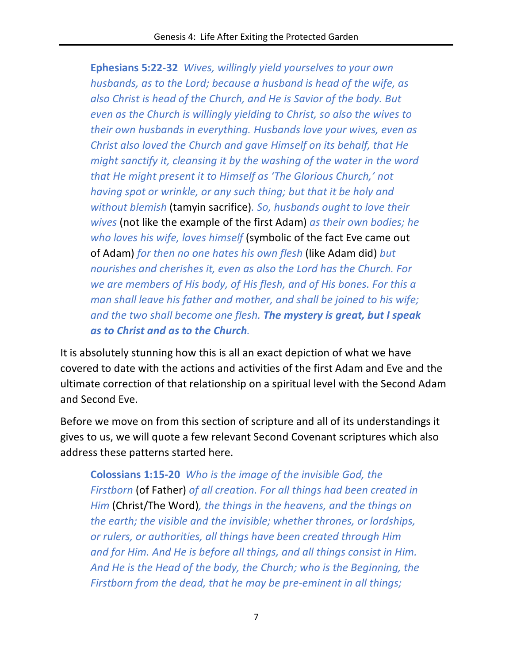**Ephesians 5:22-32** *Wives, willingly yield yourselves to your own husbands, as to the Lord; because a husband is head of the wife, as also Christ is head of the Church, and He is Savior of the body. But even as the Church is willingly yielding to Christ, so also the wives to their own husbands in everything. Husbands love your wives, even as Christ also loved the Church and gave Himself on its behalf, that He might sanctify it, cleansing it by the washing of the water in the word that He might present it to Himself as 'The Glorious Church,' not having spot or wrinkle, or any such thing; but that it be holy and without blemish* (tamyin sacrifice)*. So, husbands ought to love their wives* (not like the example of the first Adam) *as their own bodies; he who loves his wife, loves himself* (symbolic of the fact Eve came out of Adam) *for then no one hates his own flesh* (like Adam did) *but nourishes and cherishes it, even as also the Lord has the Church. For we are members of His body, of His flesh, and of His bones. For this a man shall leave his father and mother, and shall be joined to his wife; and the two shall become one flesh. The mystery is great, but I speak as to Christ and as to the Church.*

It is absolutely stunning how this is all an exact depiction of what we have covered to date with the actions and activities of the first Adam and Eve and the ultimate correction of that relationship on a spiritual level with the Second Adam and Second Eve.

Before we move on from this section of scripture and all of its understandings it gives to us, we will quote a few relevant Second Covenant scriptures which also address these patterns started here.

**Colossians 1:15-20** *Who is the image of the invisible God, the Firstborn* (of Father) *of all creation. For all things had been created in Him* (Christ/The Word)*, the things in the heavens, and the things on the earth; the visible and the invisible; whether thrones, or lordships, or rulers, or authorities, all things have been created through Him and for Him. And He is before all things, and all things consist in Him. And He is the Head of the body, the Church; who is the Beginning, the Firstborn from the dead, that he may be pre-eminent in all things;*